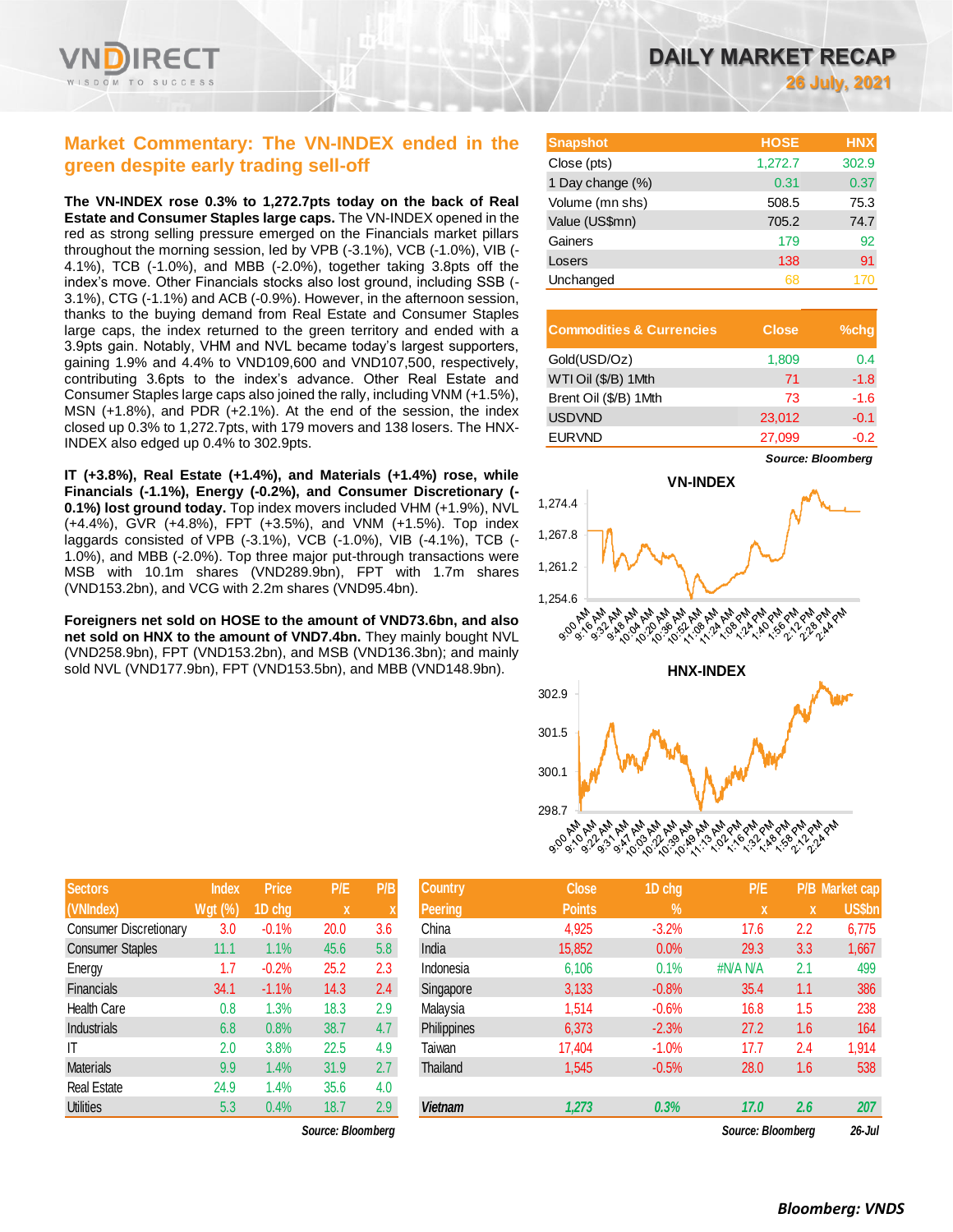

# **Market Commentary: The VN-INDEX ended in the green despite early trading sell-off**

**The VN-INDEX rose 0.3% to 1,272.7pts today on the back of Real Estate and Consumer Staples large caps.** The VN-INDEX opened in the red as strong selling pressure emerged on the Financials market pillars throughout the morning session, led by VPB (-3.1%), VCB (-1.0%), VIB (- 4.1%), TCB (-1.0%), and MBB (-2.0%), together taking 3.8pts off the index's move. Other Financials stocks also lost ground, including SSB (- 3.1%), CTG (-1.1%) and ACB (-0.9%). However, in the afternoon session, thanks to the buying demand from Real Estate and Consumer Staples large caps, the index returned to the green territory and ended with a 3.9pts gain. Notably, VHM and NVL became today's largest supporters, gaining 1.9% and 4.4% to VND109,600 and VND107,500, respectively, contributing 3.6pts to the index's advance. Other Real Estate and Consumer Staples large caps also joined the rally, including VNM (+1.5%), MSN (+1.8%), and PDR (+2.1%). At the end of the session, the index closed up 0.3% to 1,272.7pts, with 179 movers and 138 losers. The HNX-INDEX also edged up 0.4% to 302.9pts.

**IT (+3.8%), Real Estate (+1.4%), and Materials (+1.4%) rose, while Financials (-1.1%), Energy (-0.2%), and Consumer Discretionary (- 0.1%) lost ground today.** Top index movers included VHM (+1.9%), NVL (+4.4%), GVR (+4.8%), FPT (+3.5%), and VNM (+1.5%). Top index laggards consisted of VPB (-3.1%), VCB (-1.0%), VIB (-4.1%), TCB (- 1.0%), and MBB (-2.0%). Top three major put-through transactions were MSB with 10.1m shares (VND289.9bn), FPT with 1.7m shares (VND153.2bn), and VCG with 2.2m shares (VND95.4bn).

**Foreigners net sold on HOSE to the amount of VND73.6bn, and also net sold on HNX to the amount of VND7.4bn.** They mainly bought NVL (VND258.9bn), FPT (VND153.2bn), and MSB (VND136.3bn); and mainly sold NVL (VND177.9bn), FPT (VND153.5bn), and MBB (VND148.9bn).

|  | DAILY MARKET RECAP |                      |
|--|--------------------|----------------------|
|  |                    | <b>26 July, 2021</b> |

*Source: Bloomberg*

| <b>Snapshot</b>  | <b>HOSE</b> | <b>HNX</b> |
|------------------|-------------|------------|
| Close (pts)      | 1,272.7     | 302.9      |
| 1 Day change (%) | 0.31        | 0.37       |
| Volume (mn shs)  | 508.5       | 75.3       |
| Value (US\$mn)   | 705.2       | 74.7       |
| Gainers          | 179         | 92         |
| Losers           | 138         | 91         |
| Unchanged        | 68          | 170        |

| <b>Commodities &amp; Currencies</b> | <b>Close</b> | $%$ chq |
|-------------------------------------|--------------|---------|
| Gold(USD/Oz)                        | 1,809        | 0.4     |
| WTI Oil (\$/B) 1Mth                 | 71           | $-1.8$  |
| Brent Oil (\$/B) 1Mth               | 73           | $-1.6$  |
| <b>USDVND</b>                       | 23,012       | $-0.1$  |
| <b>EURVND</b>                       | 27,099       | $-0.2$  |



| 298.7 - I |  |
|-----------|--|
|           |  |
|           |  |
|           |  |

| <b>Sectors</b>                | <b>Index</b>    | <b>Price</b> | P/E  | P/B |
|-------------------------------|-----------------|--------------|------|-----|
| (VNIndex)                     | Wgt ( <u>%)</u> | 1D chg       | X    | X   |
| <b>Consumer Discretionary</b> | 3.0             | $-0.1%$      | 20.0 | 3.6 |
| <b>Consumer Staples</b>       | 11.1            | 1.1%         | 45.6 | 5.8 |
| Energy                        | 1.7             | $-0.2%$      | 25.2 | 2.3 |
| <b>Financials</b>             | 34.1            | $-1.1%$      | 14.3 | 2.4 |
| <b>Health Care</b>            | 0.8             | 1.3%         | 18.3 | 2.9 |
| <b>Industrials</b>            | 6.8             | 0.8%         | 38.7 | 4.7 |
| ΙT                            | 2.0             | 3.8%         | 22.5 | 4.9 |
| <b>Materials</b>              | 9.9             | 1.4%         | 31.9 | 2.7 |
| <b>Real Estate</b>            | 24.9            | 1.4%         | 35.6 | 4.0 |
| <b>Utilities</b>              | 5.3             | 0.4%         | 18.7 | 2.9 |

| <b>Sectors</b>          | <b>Index</b> | <b>Price</b> | P/E  | P/B           | <b>Country</b>     | <b>Close</b>  | 1D chg        | P/E      |          | P/B Market cap |
|-------------------------|--------------|--------------|------|---------------|--------------------|---------------|---------------|----------|----------|----------------|
| (VNIndex)               | Wgt (%)      | 1D chg       | X    |               | <b>Peering</b>     | <b>Points</b> | $\frac{9}{6}$ | X        | <b>X</b> | US\$bn         |
| Consumer Discretionary  | 3.0          | $-0.1%$      | 20.0 | 3.6           | China              | 4,925         | $-3.2%$       | 17.6     | 2.2      | 6,775          |
| <b>Consumer Staples</b> | 11.1         | 1.1%         | 45.6 | 5.8           | India              | 15,852        | 0.0%          | 29.3     | 3.3      | 1,667          |
| Energy                  | 1.7          | $-0.2%$      | 25.2 | 2.3           | Indonesia          | 6,106         | 0.1%          | #N/A N/A | 2.1      | 499            |
| Financials              | 34.1         | $-1.1%$      | 14.3 | $2.4^{\circ}$ | Singapore          | 3,133         | $-0.8%$       | 35.4     | 1.1      | 386            |
| Health Care             | 0.8          | 1.3%         | 18.3 | 2.9           | Malaysia           | 1,514         | $-0.6%$       | 16.8     | 1.5      | 238            |
| Industrials             | 6.8          | 0.8%         | 38.7 | 4.7           | <b>Philippines</b> | 6,373         | $-2.3%$       | 27.2     | 1.6      | 164            |
| IT                      | 2.0          | 3.8%         | 22.5 | 4.9           | Taiwan             | 17,404        | $-1.0%$       | 17.7     | 2.4      | 1,914          |
| <b>Materials</b>        | 9.9          | 1.4%         | 31.9 | 2.7           | <b>Thailand</b>    | 1,545         | $-0.5%$       | 28.0     | 1.6      | 538            |
| <b>Real Estate</b>      | 24.9         | 1.4%         | 35.6 | 4.0           |                    |               |               |          |          |                |
| Utilities               | 5.3          | 0.4%         | 18.7 | 2.9           | <b>Vietnam</b>     | 1,273         | 0.3%          | 17.0     | 2.6      | 207            |
|                         |              |              |      |               |                    |               |               |          |          |                |

*Source: Bloomberg Source: Bloomberg 26-Jul*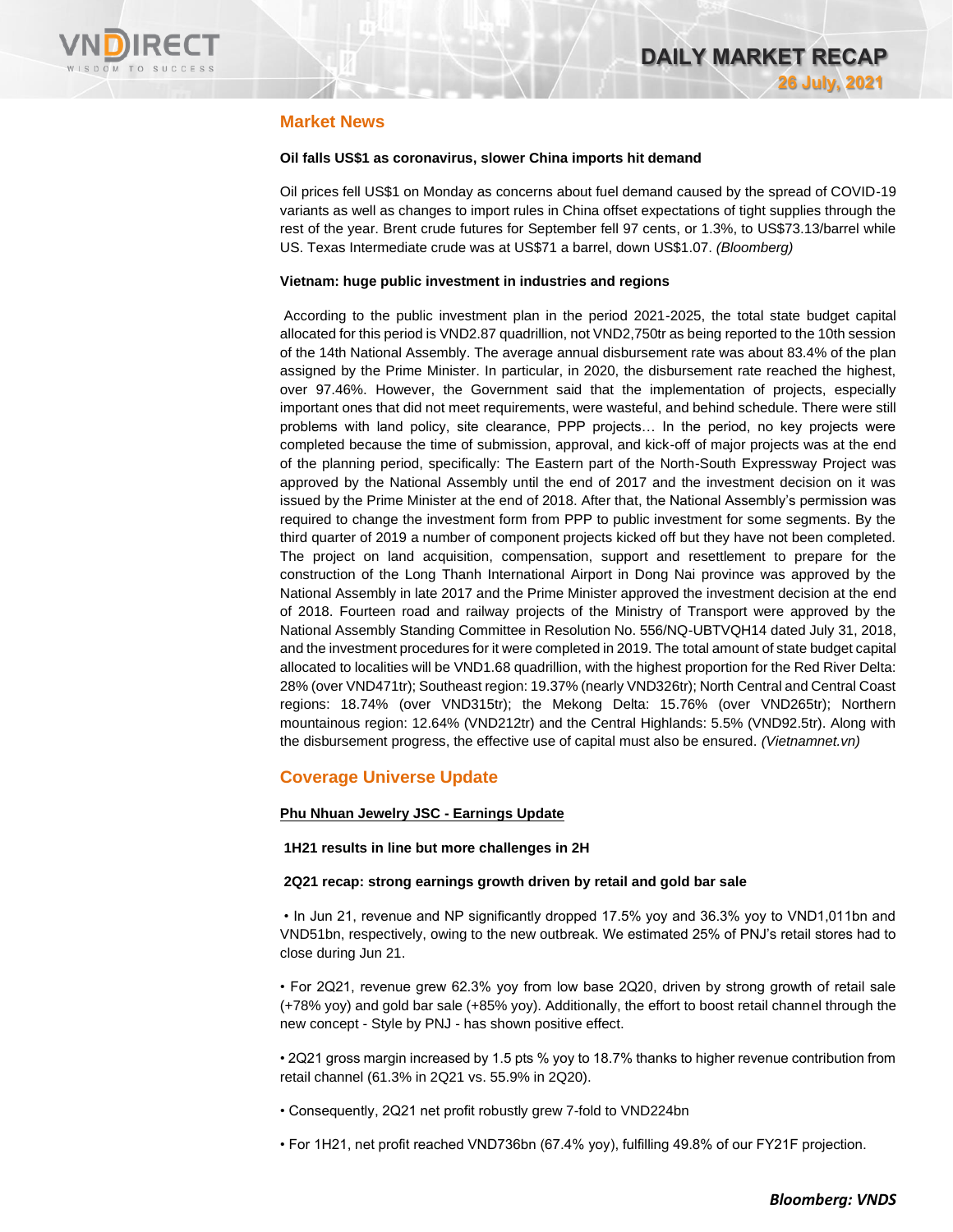

# **Market News**

### **Oil falls US\$1 as coronavirus, slower China imports hit demand**

Oil prices fell US\$1 on Monday as concerns about fuel demand caused by the spread of COVID-19 variants as well as changes to import rules in China offset expectations of tight supplies through the rest of the year. Brent crude futures for September fell 97 cents, or 1.3%, to US\$73.13/barrel while US. Texas Intermediate crude was at US\$71 a barrel, down US\$1.07. *(Bloomberg)*

### **Vietnam: huge public investment in industries and regions**

According to the public investment plan in the period 2021-2025, the total state budget capital allocated for this period is VND2.87 quadrillion, not VND2,750tr as being reported to the 10th session of the 14th National Assembly. The average annual disbursement rate was about 83.4% of the plan assigned by the Prime Minister. In particular, in 2020, the disbursement rate reached the highest, over 97.46%. However, the Government said that the implementation of projects, especially important ones that did not meet requirements, were wasteful, and behind schedule. There were still problems with land policy, site clearance, PPP projects… In the period, no key projects were completed because the time of submission, approval, and kick-off of major projects was at the end of the planning period, specifically: The Eastern part of the North-South Expressway Project was approved by the National Assembly until the end of 2017 and the investment decision on it was issued by the Prime Minister at the end of 2018. After that, the National Assembly's permission was required to change the investment form from PPP to public investment for some segments. By the third quarter of 2019 a number of component projects kicked off but they have not been completed. The project on land acquisition, compensation, support and resettlement to prepare for the construction of the Long Thanh International Airport in Dong Nai province was approved by the National Assembly in late 2017 and the Prime Minister approved the investment decision at the end of 2018. Fourteen road and railway projects of the Ministry of Transport were approved by the National Assembly Standing Committee in Resolution No. 556/NQ-UBTVQH14 dated July 31, 2018, and the investment procedures for it were completed in 2019. The total amount of state budget capital allocated to localities will be VND1.68 quadrillion, with the highest proportion for the Red River Delta: 28% (over VND471tr); Southeast region: 19.37% (nearly VND326tr); North Central and Central Coast regions: 18.74% (over VND315tr); the Mekong Delta: 15.76% (over VND265tr); Northern mountainous region: 12.64% (VND212tr) and the Central Highlands: 5.5% (VND92.5tr). Along with the disbursement progress, the effective use of capital must also be ensured. *(Vietnamnet.vn)*

# **Coverage Universe Update**

### **Phu Nhuan Jewelry JSC - Earnings Update**

### **1H21 results in line but more challenges in 2H**

### **2Q21 recap: strong earnings growth driven by retail and gold bar sale**

• In Jun 21, revenue and NP significantly dropped 17.5% yoy and 36.3% yoy to VND1,011bn and VND51bn, respectively, owing to the new outbreak. We estimated 25% of PNJ's retail stores had to close during Jun 21.

• For 2Q21, revenue grew 62.3% yoy from low base 2Q20, driven by strong growth of retail sale (+78% yoy) and gold bar sale (+85% yoy). Additionally, the effort to boost retail channel through the new concept - Style by PNJ - has shown positive effect.

• 2Q21 gross margin increased by 1.5 pts % yoy to 18.7% thanks to higher revenue contribution from retail channel (61.3% in 2Q21 vs. 55.9% in 2Q20).

• Consequently, 2Q21 net profit robustly grew 7-fold to VND224bn

• For 1H21, net profit reached VND736bn (67.4% yoy), fulfilling 49.8% of our FY21F projection.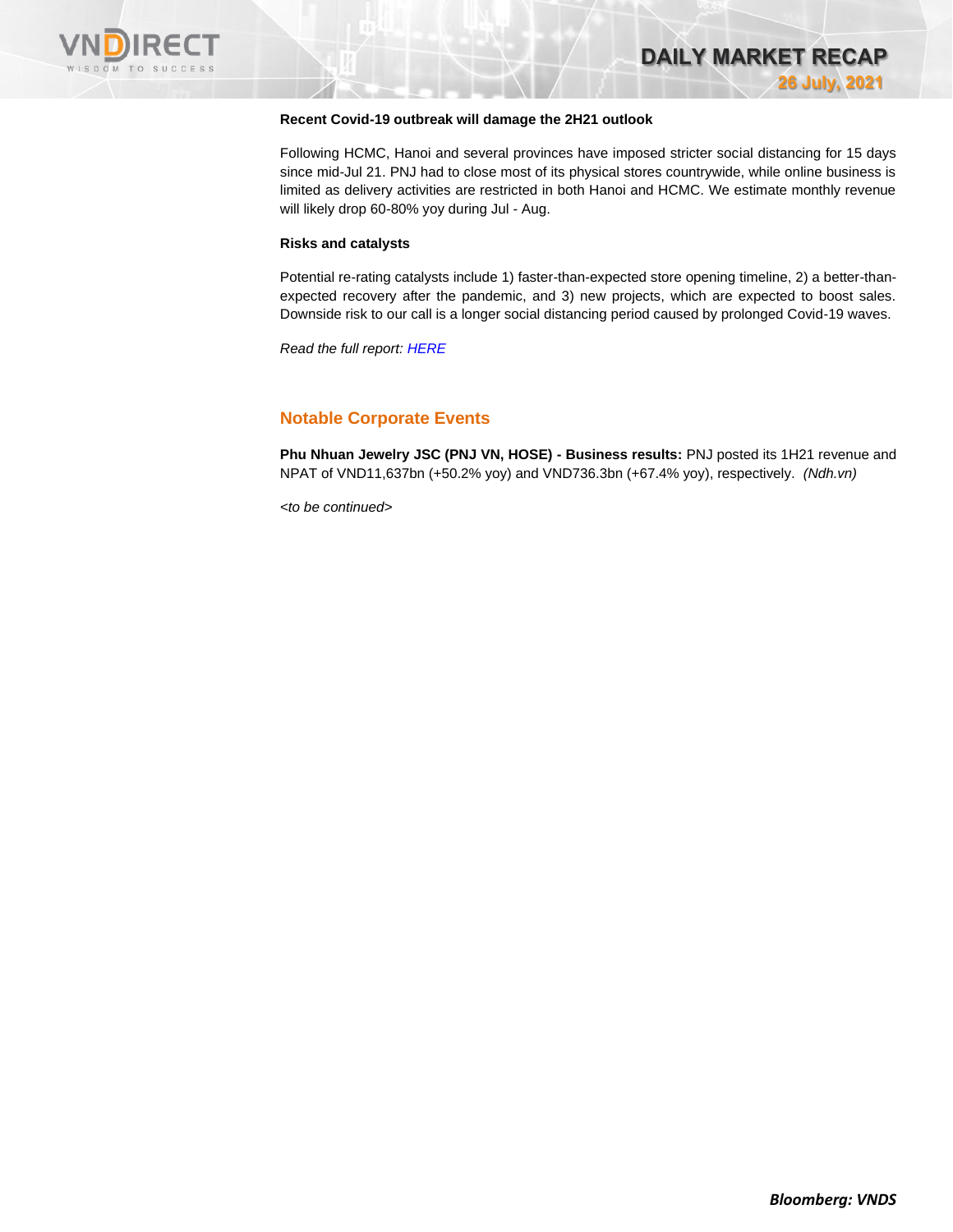

### **Recent Covid-19 outbreak will damage the 2H21 outlook**

Following HCMC, Hanoi and several provinces have imposed stricter social distancing for 15 days since mid-Jul 21. PNJ had to close most of its physical stores countrywide, while online business is limited as delivery activities are restricted in both Hanoi and HCMC. We estimate monthly revenue will likely drop 60-80% yoy during Jul - Aug.

#### **Risks and catalysts**

Potential re-rating catalysts include 1) faster-than-expected store opening timeline, 2) a better-thanexpected recovery after the pandemic, and 3) new projects, which are expected to boost sales. Downside risk to our call is a longer social distancing period caused by prolonged Covid-19 waves.

*Read the full report[: HERE](https://www.vndirect.com.vn/cmsupload/beta/PNJ_EarningsUpdate_20210726.pdf)*

# **Notable Corporate Events**

**Phu Nhuan Jewelry JSC (PNJ VN, HOSE) - Business results:** PNJ posted its 1H21 revenue and NPAT of VND11,637bn (+50.2% yoy) and VND736.3bn (+67.4% yoy), respectively. *(Ndh.vn)*

*<to be continued>*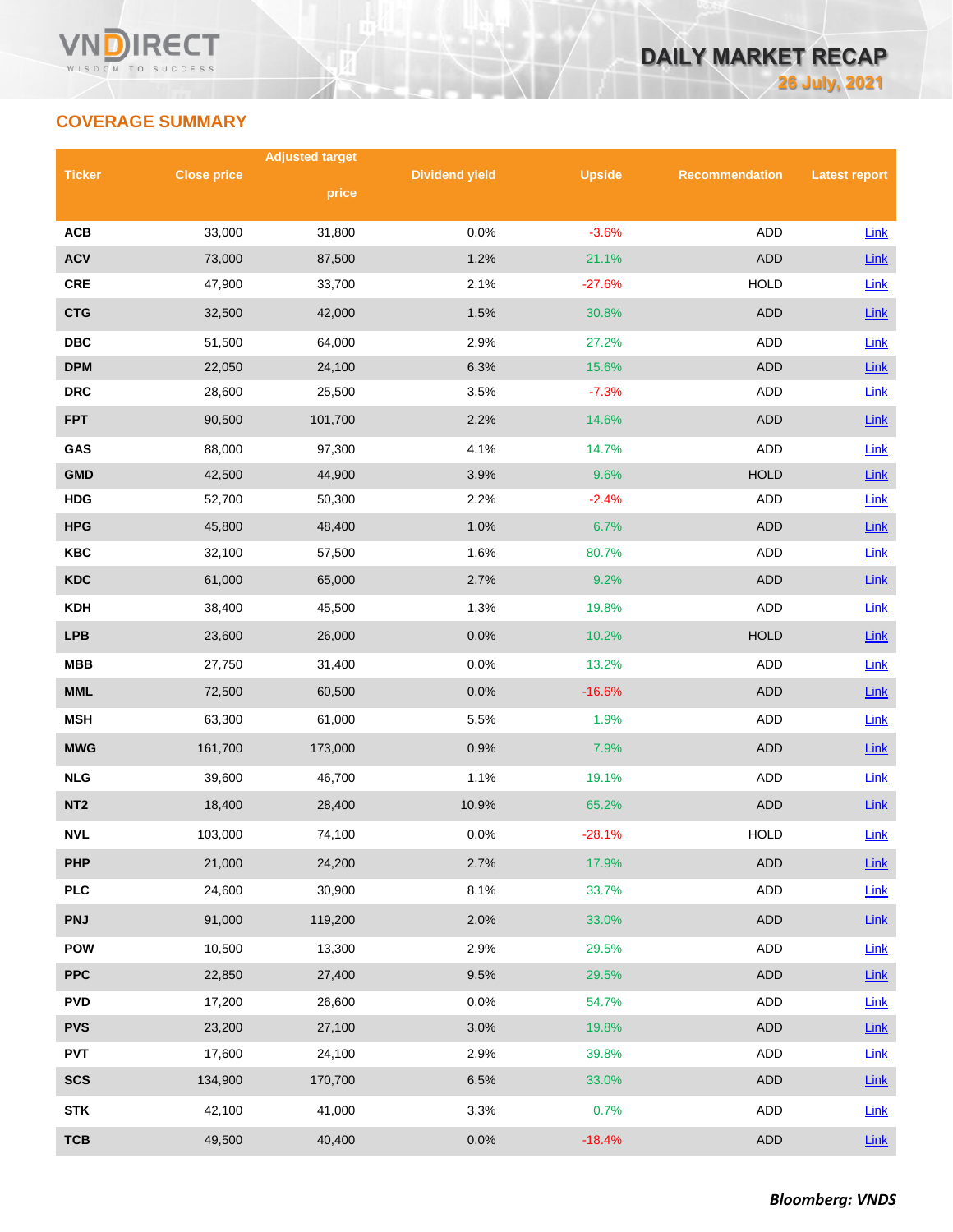# **COVERAGE SUMMARY**

|                 |                    | <b>Adjusted target</b> |                       |               |                       |                      |  |  |
|-----------------|--------------------|------------------------|-----------------------|---------------|-----------------------|----------------------|--|--|
| <b>Ticker</b>   | <b>Close price</b> | price                  | <b>Dividend yield</b> | <b>Upside</b> | <b>Recommendation</b> | <b>Latest report</b> |  |  |
|                 |                    |                        |                       |               |                       |                      |  |  |
| <b>ACB</b>      | 33,000             | 31,800                 | 0.0%                  | $-3.6%$       | <b>ADD</b>            | Link                 |  |  |
| <b>ACV</b>      | 73,000             | 87,500                 | 1.2%                  | 21.1%         | <b>ADD</b>            | Link                 |  |  |
| <b>CRE</b>      | 47,900             | 33,700                 | 2.1%                  | $-27.6%$      | <b>HOLD</b>           | Link                 |  |  |
| <b>CTG</b>      | 32,500             | 42,000                 | 1.5%                  | 30.8%         | <b>ADD</b>            | Link                 |  |  |
| <b>DBC</b>      | 51,500             | 64,000                 | 2.9%                  | 27.2%         | ADD                   | Link                 |  |  |
| <b>DPM</b>      | 22,050             | 24,100                 | 6.3%                  | 15.6%         | <b>ADD</b>            | Link                 |  |  |
| <b>DRC</b>      | 28,600             | 25,500                 | 3.5%                  | $-7.3%$       | <b>ADD</b>            | Link                 |  |  |
| <b>FPT</b>      | 90,500             | 101,700                | 2.2%                  | 14.6%         | <b>ADD</b>            | Link                 |  |  |
| GAS             | 88,000             | 97,300                 | 4.1%                  | 14.7%         | <b>ADD</b>            | Link                 |  |  |
| <b>GMD</b>      | 42,500             | 44,900                 | 3.9%                  | 9.6%          | <b>HOLD</b>           | Link                 |  |  |
| <b>HDG</b>      | 52,700             | 50,300                 | 2.2%                  | $-2.4%$       | ADD                   | Link                 |  |  |
| <b>HPG</b>      | 45,800             | 48,400                 | 1.0%                  | 6.7%          | <b>ADD</b>            | Link                 |  |  |
| <b>KBC</b>      | 32,100             | 57,500                 | 1.6%                  | 80.7%         | ADD                   | Link                 |  |  |
| <b>KDC</b>      | 61,000             | 65,000                 | 2.7%                  | 9.2%          | <b>ADD</b>            | Link                 |  |  |
| <b>KDH</b>      | 38,400             | 45,500                 | 1.3%                  | 19.8%         | ADD                   | Link                 |  |  |
| <b>LPB</b>      | 23,600             | 26,000                 | 0.0%                  | 10.2%         | <b>HOLD</b>           | Link                 |  |  |
| <b>MBB</b>      | 27,750             | 31,400                 | 0.0%                  | 13.2%         | ADD                   | Link                 |  |  |
| <b>MML</b>      | 72,500             | 60,500                 | 0.0%                  | $-16.6%$      | <b>ADD</b>            | Link                 |  |  |
| <b>MSH</b>      | 63,300             | 61,000                 | 5.5%                  | 1.9%          | ADD                   | Link                 |  |  |
| <b>MWG</b>      | 161,700            | 173,000                | 0.9%                  | 7.9%          | <b>ADD</b>            | Link                 |  |  |
| <b>NLG</b>      | 39,600             | 46,700                 | 1.1%                  | 19.1%         | ADD                   | Link                 |  |  |
| NT <sub>2</sub> | 18,400             | 28,400                 | 10.9%                 | 65.2%         | <b>ADD</b>            | Link                 |  |  |
| <b>NVL</b>      | 103,000            | 74,100                 | 0.0%                  | $-28.1%$      | <b>HOLD</b>           | Link                 |  |  |
| <b>PHP</b>      | 21,000             | 24,200                 | 2.7%                  | 17.9%         | ADD                   | Link                 |  |  |
| <b>PLC</b>      | 24,600             | 30,900                 | 8.1%                  | 33.7%         | ADD                   | Link                 |  |  |
| <b>PNJ</b>      | 91,000             | 119,200                | 2.0%                  | 33.0%         | ADD                   | Link                 |  |  |
| <b>POW</b>      | 10,500             | 13,300                 | 2.9%                  | 29.5%         | ADD                   | Link                 |  |  |
| <b>PPC</b>      | 22,850             | 27,400                 | 9.5%                  | 29.5%         | ADD                   | Link                 |  |  |
| <b>PVD</b>      | 17,200             | 26,600                 | 0.0%                  | 54.7%         | ADD                   | <b>Link</b>          |  |  |
| <b>PVS</b>      | 23,200             | 27,100                 | 3.0%                  | 19.8%         | <b>ADD</b>            | $Link$               |  |  |
| <b>PVT</b>      | 17,600             | 24,100                 | 2.9%                  | 39.8%         | ADD                   | Link                 |  |  |
| <b>SCS</b>      | 134,900            | 170,700                | 6.5%                  | 33.0%         | ADD                   | $Link$               |  |  |
| <b>STK</b>      | 42,100             | 41,000                 | 3.3%                  | 0.7%          | ADD                   | Link                 |  |  |
| <b>TCB</b>      | 49,500             | 40,400                 | 0.0%                  | $-18.4%$      | <b>ADD</b>            | Link                 |  |  |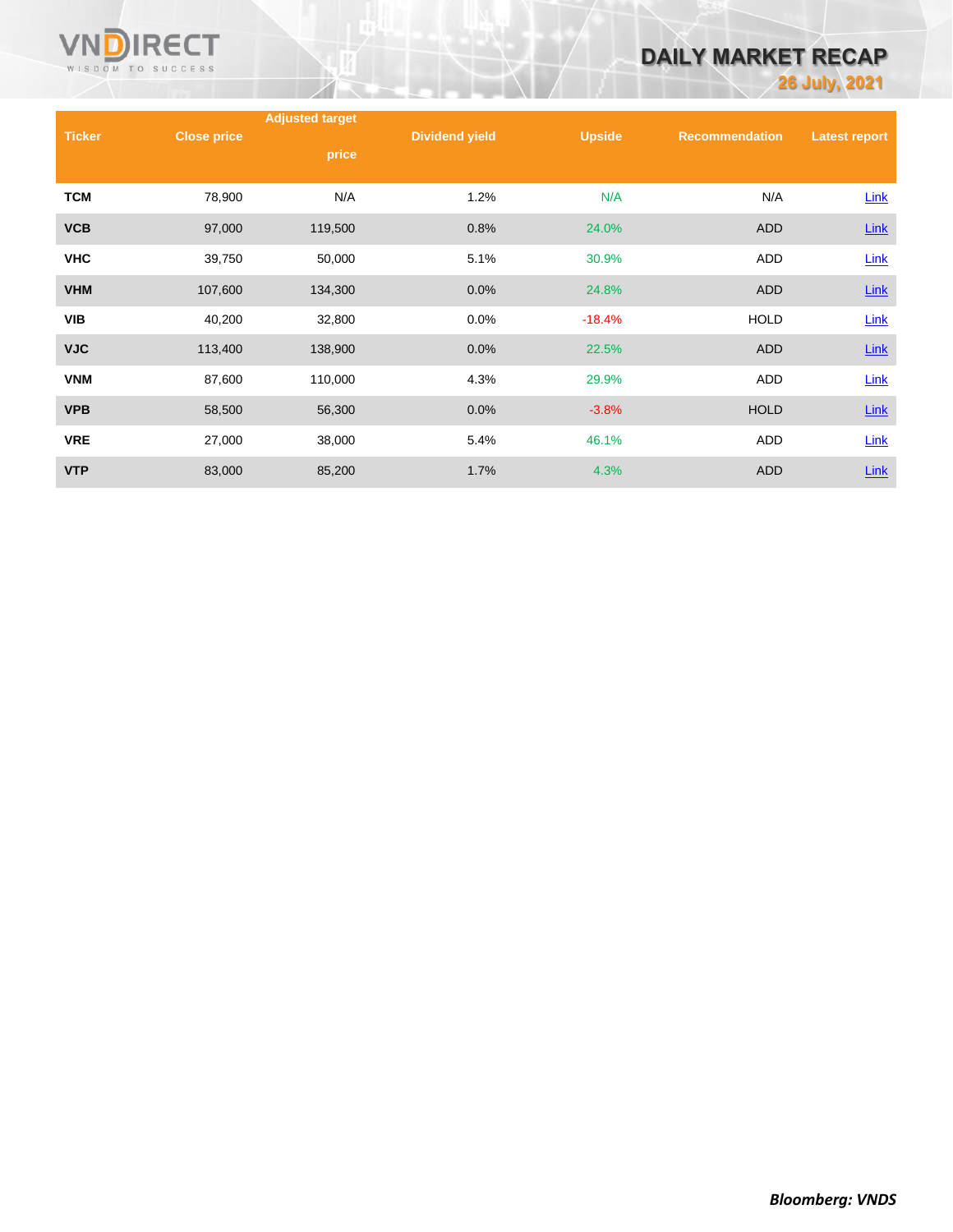

# **DAILY MARKET RECAP**

**26 July, 2021**

|               |                    | <b>Adjusted target</b> |                       |               |                       |                      |
|---------------|--------------------|------------------------|-----------------------|---------------|-----------------------|----------------------|
| <b>Ticker</b> | <b>Close price</b> | price                  | <b>Dividend yield</b> | <b>Upside</b> | <b>Recommendation</b> | <b>Latest report</b> |
| <b>TCM</b>    | 78,900             | N/A                    | 1.2%                  | N/A           | N/A                   | Link                 |
| <b>VCB</b>    | 97,000             | 119,500                | 0.8%                  | 24.0%         | <b>ADD</b>            | $Link$               |
| <b>VHC</b>    | 39,750             | 50,000                 | 5.1%                  | 30.9%         | <b>ADD</b>            | Link                 |
| <b>VHM</b>    | 107,600            | 134,300                | 0.0%                  | 24.8%         | <b>ADD</b>            | $Link$               |
| <b>VIB</b>    | 40,200             | 32,800                 | 0.0%                  | $-18.4%$      | <b>HOLD</b>           | Link                 |
| <b>VJC</b>    | 113,400            | 138,900                | 0.0%                  | 22.5%         | <b>ADD</b>            | <b>Link</b>          |
| <b>VNM</b>    | 87,600             | 110,000                | 4.3%                  | 29.9%         | <b>ADD</b>            | Link                 |
| <b>VPB</b>    | 58,500             | 56,300                 | 0.0%                  | $-3.8%$       | <b>HOLD</b>           | Link                 |
| <b>VRE</b>    | 27,000             | 38,000                 | 5.4%                  | 46.1%         | <b>ADD</b>            | Link                 |
| <b>VTP</b>    | 83,000             | 85,200                 | 1.7%                  | 4.3%          | <b>ADD</b>            | <b>Link</b>          |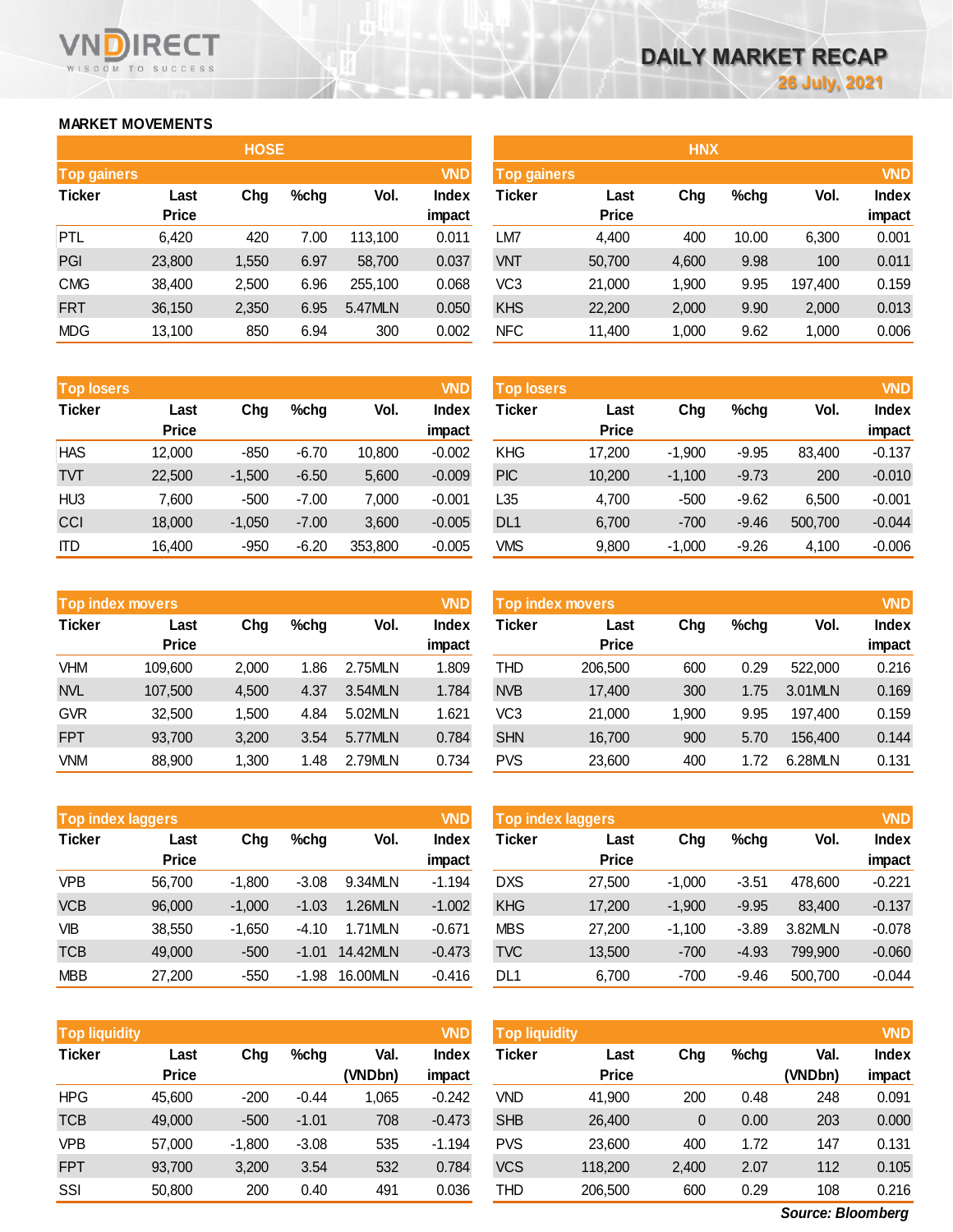# **MARKET MOVEMENTS**

WISDOM TO SUCCESS

**RECT** 

**VN** 

| <b>HOSE</b>        |              |       |      |         |              |  |  |  |  |
|--------------------|--------------|-------|------|---------|--------------|--|--|--|--|
| <b>Top gainers</b> |              |       |      |         | <b>VND</b>   |  |  |  |  |
| <b>Ticker</b>      | Last         | Chg   | %chg | Vol.    | <b>Index</b> |  |  |  |  |
|                    | <b>Price</b> |       |      |         | impact       |  |  |  |  |
| <b>PTL</b>         | 6,420        | 420   | 7.00 | 113,100 | 0.011        |  |  |  |  |
| PGI                | 23,800       | 1,550 | 6.97 | 58,700  | 0.037        |  |  |  |  |
| <b>CMG</b>         | 38,400       | 2,500 | 6.96 | 255,100 | 0.068        |  |  |  |  |
| <b>FRT</b>         | 36,150       | 2,350 | 6.95 | 5.47MLN | 0.050        |  |  |  |  |
| MDG                | 13,100       | 850   | 6.94 | 300     | 0.002        |  |  |  |  |

|                                  | <b>HOSE</b>  |       |      |         |              |                 |                                  | <b>HNX</b> |       |         |              |  |
|----------------------------------|--------------|-------|------|---------|--------------|-----------------|----------------------------------|------------|-------|---------|--------------|--|
| <b>VND</b><br><b>Top gainers</b> |              |       |      |         |              |                 | <b>VND</b><br><b>Top gainers</b> |            |       |         |              |  |
| Ticker                           | Last         | Chg   | %chg | Vol.    | <b>Index</b> | Ticker          | Last                             | Chg        | %chg  | Vol.    | <b>Index</b> |  |
|                                  | <b>Price</b> |       |      |         | impact       |                 | <b>Price</b>                     |            |       |         | impact       |  |
| PTL                              | 6,420        | 420   | 7.00 | 113,100 | 0.011        | LM7             | 4,400                            | 400        | 10.00 | 6,300   | 0.001        |  |
| PGI                              | 23,800       | 1,550 | 6.97 | 58,700  | 0.037        | <b>VNT</b>      | 50,700                           | 4,600      | 9.98  | 100     | 0.011        |  |
| <b>CMG</b>                       | 38,400       | 2,500 | 6.96 | 255.100 | 0.068        | VC <sub>3</sub> | 21,000                           | 1,900      | 9.95  | 197,400 | 0.159        |  |
| <b>FRT</b>                       | 36,150       | 2,350 | 6.95 | 5.47MLN | 0.050        | <b>KHS</b>      | 22,200                           | 2,000      | 9.90  | 2,000   | 0.013        |  |
| MDG                              | 13,100       | 850   | 6.94 | 300     | 0.002        | <b>NFC</b>      | 11,400                           | 1,000      | 9.62  | 1,000   | 0.006        |  |

| <b>Top losers</b> |              |          |         |         | <b>VND</b>   |
|-------------------|--------------|----------|---------|---------|--------------|
| <b>Ticker</b>     | Last         | Cha      | %chg    | Vol.    | <b>Index</b> |
|                   | <b>Price</b> |          |         |         | impact       |
| <b>HAS</b>        | 12,000       | -850     | $-6.70$ | 10,800  | $-0.002$     |
| TVT               | 22,500       | $-1,500$ | $-6.50$ | 5,600   | $-0.009$     |
| HU3               | 7.600        | -500     | $-7.00$ | 7.000   | $-0.001$     |
| CCI               | 18,000       | $-1,050$ | $-7.00$ | 3,600   | $-0.005$     |
| ITD               | 16,400       | -950     | $-6.20$ | 353,800 | $-0.005$     |

| <b>Top losers</b> |                      |          |         |         | VND                    | <b>Top losers</b> |                      |          |         |         | <b>VND</b>             |
|-------------------|----------------------|----------|---------|---------|------------------------|-------------------|----------------------|----------|---------|---------|------------------------|
| Ticker            | Last<br><b>Price</b> | Chg      | $%$ chg | Vol.    | <b>Index</b><br>impact | Ticker            | Last<br><b>Price</b> | Chg      | $%$ chg | Vol.    | <b>Index</b><br>impact |
| <b>HAS</b>        |                      |          |         |         |                        |                   |                      |          |         |         |                        |
|                   | 12,000               | $-850$   | $-6.70$ | 10,800  | $-0.002$               | <b>KHG</b>        | 17,200               | $-1,900$ | $-9.95$ | 83.400  | $-0.137$               |
| TVТ               | 22,500               | $-1,500$ | $-6.50$ | 5,600   | $-0.009$               | <b>PIC</b>        | 10,200               | $-1,100$ | $-9.73$ | 200     | $-0.010$               |
| HU <sub>3</sub>   | 7.600                | $-500$   | $-7.00$ | 7,000   | $-0.001$               | L35               | 4.700                | $-500$   | $-9.62$ | 6.500   | $-0.001$               |
| CCI               | 18,000               | $-1,050$ | $-7.00$ | 3,600   | $-0.005$               | DL <sub>1</sub>   | 6,700                | $-700$   | $-9.46$ | 500,700 | $-0.044$               |
| ITD               | 16,400               | $-950$   | $-6.20$ | 353,800 | $-0.005$               | <b>VMS</b>        | 9,800                | $-1,000$ | $-9.26$ | 4,100   | $-0.006$               |
|                   |                      |          |         |         |                        |                   |                      |          |         |         |                        |

| <b>Top index movers</b> |              |       |         | <b>VND</b> |              |
|-------------------------|--------------|-------|---------|------------|--------------|
| <b>Ticker</b>           | Last         | Chg   | $%$ chg | Vol.       | <b>Index</b> |
|                         | <b>Price</b> |       |         |            | impact       |
| VHM                     | 109,600      | 2,000 | 1.86    | 2.75MLN    | 1.809        |
| <b>NVL</b>              | 107,500      | 4,500 | 4.37    | 3.54MLN    | 1.784        |
| <b>GVR</b>              | 32,500       | 1,500 | 4.84    | 5.02MLN    | 1.621        |
| <b>FPT</b>              | 93,700       | 3,200 | 3.54    | 5.77MLN    | 0.784        |
| <b>VNM</b>              | 88,900       | 1,300 | 1.48    | 2.79MLN    | 0.734        |

| <b>VND</b><br><b>Top index movers</b> |              |       |         |         |              | Top index movers |              |       |         |         | <b>VND</b>   |
|---------------------------------------|--------------|-------|---------|---------|--------------|------------------|--------------|-------|---------|---------|--------------|
| Ticker                                | Last         | Chg   | $%$ chg | Vol.    | <b>Index</b> | Ticker           | Last         | Chg   | $%$ chg | Vol.    | <b>Index</b> |
|                                       | <b>Price</b> |       |         |         | impact       |                  | <b>Price</b> |       |         |         | impact       |
| VHM                                   | 109.600      | 2.000 | 1.86    | 2.75MLN | 1.809        | THD              | 206,500      | 600   | 0.29    | 522,000 | 0.216        |
| NVL                                   | 107,500      | 4.500 | 4.37    | 3.54MLN | 1.784        | <b>NVB</b>       | 17,400       | 300   | 1.75    | 3.01MLN | 0.169        |
| <b>GVR</b>                            | 32,500       | 1.500 | 4.84    | 5.02MLN | 1.621        | VC3              | 21,000       | 1.900 | 9.95    | 197.400 | 0.159        |
| <b>FPT</b>                            | 93,700       | 3.200 | 3.54    | 5.77MLN | 0.784        | <b>SHN</b>       | 16.700       | 900   | 5.70    | 156,400 | 0.144        |
| VNM                                   | 88,900       | 1,300 | .48     | 2.79MLN | 0.734        | <b>PVS</b>       | 23,600       | 400   | 1.72    | 6.28MLN | 0.131        |

| <b>Top index laggers</b> |              |          |         |          |              |  |  |  |  |  |
|--------------------------|--------------|----------|---------|----------|--------------|--|--|--|--|--|
| <b>Ticker</b>            | Last         | Cha      | $%$ chg | Vol.     | <b>Index</b> |  |  |  |  |  |
|                          | <b>Price</b> |          |         |          | impact       |  |  |  |  |  |
| VPB                      | 56,700       | $-1,800$ | $-3.08$ | 9.34MLN  | $-1.194$     |  |  |  |  |  |
| <b>VCB</b>               | 96,000       | $-1,000$ | $-1.03$ | 1.26MLN  | $-1.002$     |  |  |  |  |  |
| VIB                      | 38,550       | $-1,650$ | $-4.10$ | 1.71MLN  | $-0.671$     |  |  |  |  |  |
| TCB                      | 49,000       | $-500$   | $-1.01$ | 14.42MLN | $-0.473$     |  |  |  |  |  |
| <b>MBB</b>               | 27,200       | -550     | -1.98   | 16.00MLN | $-0.416$     |  |  |  |  |  |

| VND<br><b>Top index laggers</b> |                      |          |         |          |                        | Top index laggers |                      |          |         |         |        |
|---------------------------------|----------------------|----------|---------|----------|------------------------|-------------------|----------------------|----------|---------|---------|--------|
| Ticker                          | Last<br><b>Price</b> | Chg      | $%$ chg | Vol.     | <b>Index</b><br>impact | Ticker            | Last<br><b>Price</b> | Chg      | $%$ chg | Vol.    | impact |
| VPB                             | 56.700               | $-1.800$ | $-3.08$ | 9.34MLN  | $-1.194$               | <b>DXS</b>        | 27,500               | $-1.000$ | $-3.51$ | 478.600 |        |
| <b>VCB</b>                      | 96,000               | $-1.000$ | $-1.03$ | 1.26MLN  | $-1.002$               | <b>KHG</b>        | 17,200               | $-1,900$ | $-9.95$ | 83,400  |        |
| VIB                             | 38.550               | $-1.650$ | $-4.10$ | 1.71MLN  | $-0.671$               | <b>MBS</b>        | 27,200               | $-1.100$ | $-3.89$ | 3.82MLN |        |
| <b>TCB</b>                      | 49,000               | $-500$   | $-1.01$ | 14.42MLN | $-0.473$               | <b>TVC</b>        | 13,500               | $-700$   | $-4.93$ | 799,900 |        |
| MBB                             | 27,200               | $-550$   | -1.98   | 16.00MLN | $-0.416$               | DL1               | 6.700                | $-700$   | -9.46   | 500.700 |        |

| <b>Top liquidity</b> |              |          |         |         | <b>VND</b>   | <b>Top liquidity</b> |              |       |      |         | <b>VND</b>   |
|----------------------|--------------|----------|---------|---------|--------------|----------------------|--------------|-------|------|---------|--------------|
| <b>Ticker</b>        | Last         | Chg      | %chg    | Val.    | <b>Index</b> | Ticker               | Last         | Chg   | %chg | Val.    | <b>Index</b> |
|                      | <b>Price</b> |          |         | (VNDbn) | impact       |                      | <b>Price</b> |       |      | (VNDbn) | impact       |
| <b>HPG</b>           | 45,600       | $-200$   | $-0.44$ | 1,065   | $-0.242$     | VND                  | 41,900       | 200   | 0.48 | 248     | 0.091        |
| <b>TCB</b>           | 49,000       | $-500$   | $-1.01$ | 708     | $-0.473$     | <b>SHB</b>           | 26,400       | 0     | 0.00 | 203     | 0.000        |
| VPB                  | 57,000       | $-1,800$ | $-3.08$ | 535     | $-1.194$     | <b>PVS</b>           | 23,600       | 400   | 1.72 | 147     | 0.131        |
| <b>FPT</b>           | 93,700       | 3,200    | 3.54    | 532     | 0.784        | VCS                  | 118,200      | 2,400 | 2.07 | 112     | 0.105        |
| SSI                  | 50,800       | 200      | 0.40    | 491     | 0.036        | THD                  | 206,500      | 600   | 0.29 | 108     | 0.216        |

*Bloomberg: VNDS Source: Bloomberg*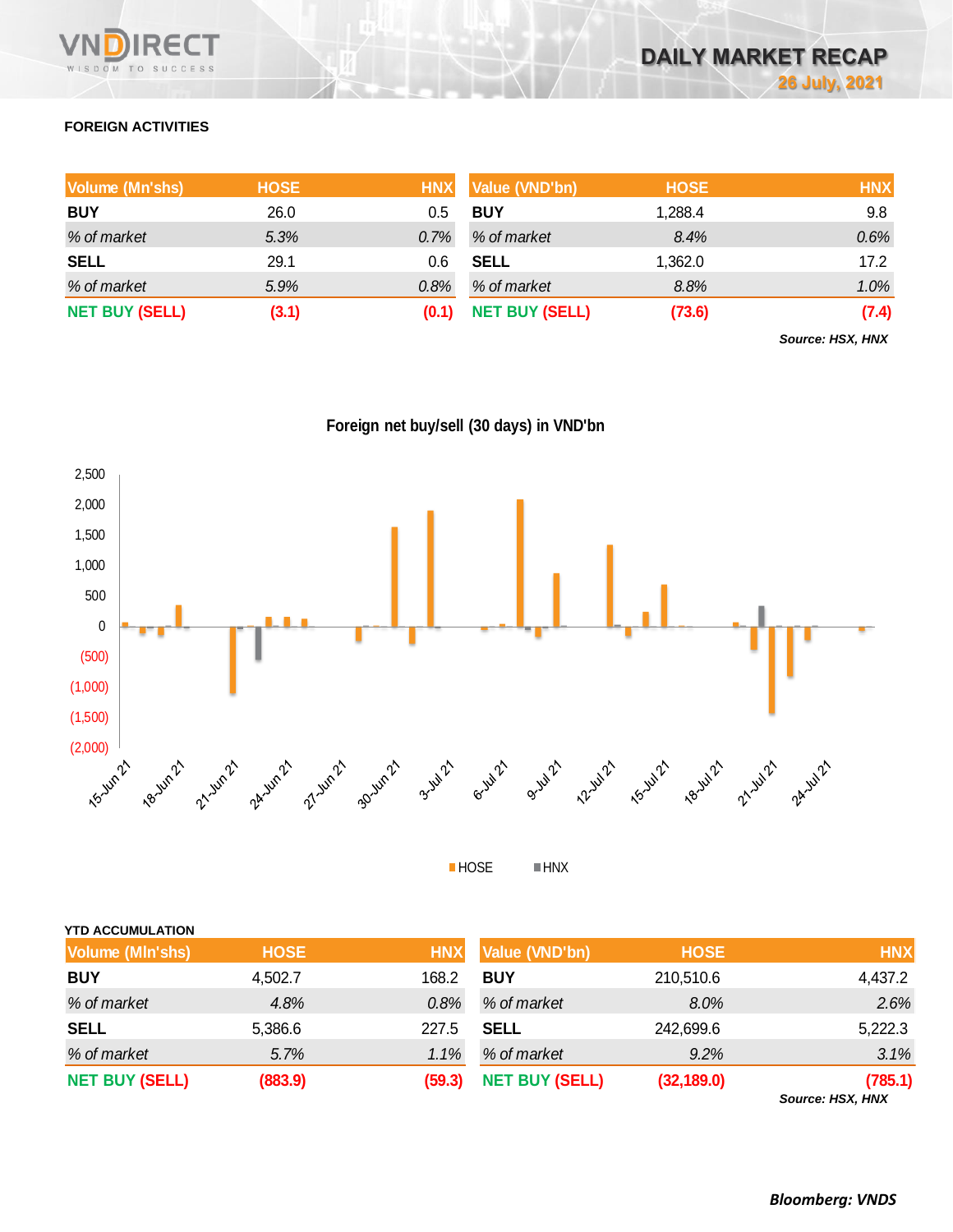

# **FOREIGN ACTIVITIES**

| <b>Volume (Mn'shs)</b> | <b>HOSE</b> |       | HNX Value (VND'bn)    | <b>HOSE</b> | <b>HNX</b> |
|------------------------|-------------|-------|-----------------------|-------------|------------|
| <b>BUY</b>             | 26.0        | 0.5   | <b>BUY</b>            | 1,288.4     | 9.8        |
| % of market            | 5.3%        | 0.7%  | % of market           | 8.4%        | 0.6%       |
| <b>SELL</b>            | 29.1        | 0.6   | <b>SELL</b>           | 1,362.0     | 17.2       |
| % of market            | 5.9%        | 0.8%  | % of market           | 8.8%        | 1.0%       |
| <b>NET BUY (SELL)</b>  | (3.1)       | (0.1) | <b>NET BUY (SELL)</b> | (73.6)      | (7.4)      |

*Source: HSX, HNX*





HOSE HNX

| <b>YTD ACCUMULATION</b> |             |            |                       |             |                           |
|-------------------------|-------------|------------|-----------------------|-------------|---------------------------|
| <b>Volume (MIn'shs)</b> | <b>HOSE</b> | <b>HNX</b> | Value (VND'bn)        | <b>HOSE</b> | <b>HNX</b>                |
| <b>BUY</b>              | 4,502.7     | 168.2      | <b>BUY</b>            | 210,510.6   | 4,437.2                   |
| % of market             | 4.8%        | 0.8%       | % of market           | 8.0%        | 2.6%                      |
| <b>SELL</b>             | 5,386.6     | 227.5      | <b>SELL</b>           | 242,699.6   | 5,222.3                   |
| % of market             | 5.7%        | 1.1%       | % of market           | $9.2\%$     | 3.1%                      |
| <b>NET BUY (SELL)</b>   | (883.9)     | (59.3)     | <b>NET BUY (SELL)</b> | (32, 189.0) | (785.1)<br>$0.110M$ $\mu$ |

*Source: HSX, HNX*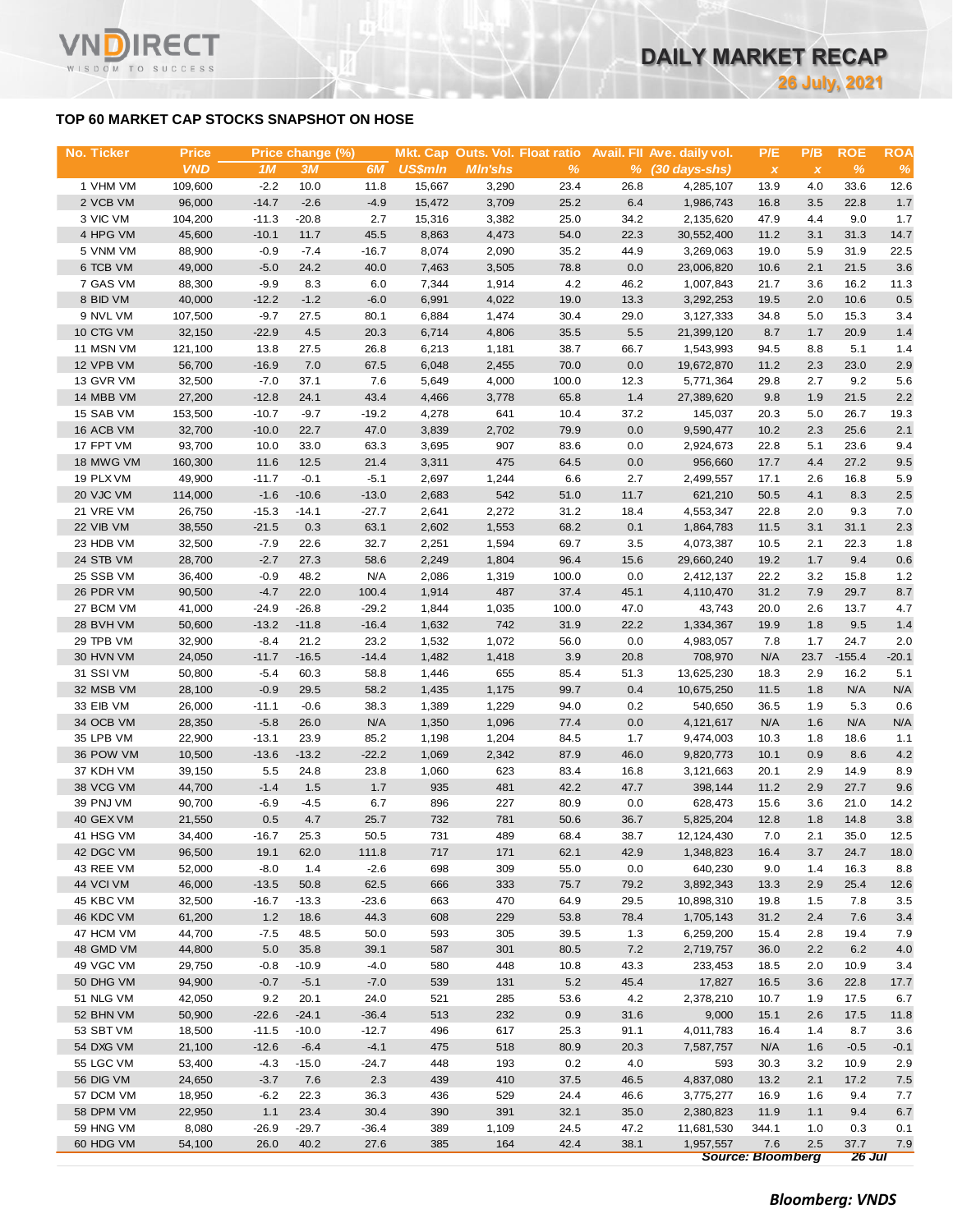# **TOP 60 MARKET CAP STOCKS SNAPSHOT ON HOSE**

WISDOM TO SUCCESS

| No. Ticker | <b>Price</b> |         | Price change (%) |         |         |                |               |      | Mkt. Cap Outs. Vol. Float ratio Avail. Fll Ave. daily vol. | P/E                      | P/B                       | <b>ROE</b> | <b>ROA</b> |
|------------|--------------|---------|------------------|---------|---------|----------------|---------------|------|------------------------------------------------------------|--------------------------|---------------------------|------------|------------|
|            | <b>VND</b>   | 1M      | 3M               | 6M      | US\$min | <b>MIn'shs</b> | $\frac{9}{6}$ |      | % (30 days-shs)                                            | $\mathbf{x}$             | $\boldsymbol{\mathsf{x}}$ | $\%$       | $\%$       |
| 1 VHM VM   | 109,600      | $-2.2$  | 10.0             | 11.8    | 15,667  | 3,290          | 23.4          | 26.8 | 4,285,107                                                  | 13.9                     | 4.0                       | 33.6       | 12.6       |
| 2 VCB VM   | 96,000       | $-14.7$ | $-2.6$           | $-4.9$  | 15,472  | 3,709          | 25.2          | 6.4  | 1,986,743                                                  | 16.8                     | 3.5                       | 22.8       | 1.7        |
| 3 VIC VM   | 104,200      | $-11.3$ | $-20.8$          | 2.7     | 15,316  | 3,382          | 25.0          | 34.2 | 2,135,620                                                  | 47.9                     | 4.4                       | 9.0        | 1.7        |
| 4 HPG VM   | 45,600       | $-10.1$ | 11.7             | 45.5    | 8,863   | 4,473          | 54.0          | 22.3 | 30,552,400                                                 | 11.2                     | 3.1                       | 31.3       | 14.7       |
| 5 VNM VM   | 88,900       | $-0.9$  | $-7.4$           | $-16.7$ | 8,074   | 2,090          | 35.2          | 44.9 | 3,269,063                                                  | 19.0                     | 5.9                       | 31.9       | 22.5       |
| 6 TCB VM   | 49,000       | $-5.0$  | 24.2             | 40.0    | 7,463   | 3,505          | 78.8          | 0.0  | 23,006,820                                                 | 10.6                     | 2.1                       | 21.5       | 3.6        |
| 7 GAS VM   | 88,300       | $-9.9$  | 8.3              | 6.0     | 7,344   | 1,914          | 4.2           | 46.2 | 1,007,843                                                  | 21.7                     | 3.6                       | 16.2       | 11.3       |
| 8 BID VM   | 40,000       | $-12.2$ | $-1.2$           | $-6.0$  | 6,991   | 4,022          | 19.0          | 13.3 | 3,292,253                                                  | 19.5                     | 2.0                       | 10.6       | 0.5        |
| 9 NVL VM   | 107,500      | $-9.7$  | 27.5             | 80.1    | 6,884   | 1,474          | 30.4          | 29.0 | 3,127,333                                                  | 34.8                     | 5.0                       | 15.3       | 3.4        |
| 10 CTG VM  | 32,150       | $-22.9$ | 4.5              | 20.3    | 6,714   | 4,806          | 35.5          | 5.5  | 21,399,120                                                 | 8.7                      | 1.7                       | 20.9       | 1.4        |
| 11 MSN VM  | 121,100      | 13.8    | 27.5             | 26.8    | 6,213   | 1,181          | 38.7          | 66.7 | 1,543,993                                                  | 94.5                     | 8.8                       | 5.1        | 1.4        |
| 12 VPB VM  | 56,700       | $-16.9$ | 7.0              | 67.5    | 6,048   | 2,455          | 70.0          | 0.0  | 19,672,870                                                 | 11.2                     | 2.3                       | 23.0       | 2.9        |
| 13 GVR VM  | 32,500       | $-7.0$  | 37.1             | 7.6     | 5,649   | 4,000          | 100.0         | 12.3 | 5,771,364                                                  | 29.8                     | 2.7                       | 9.2        | 5.6        |
| 14 MBB VM  | 27,200       | $-12.8$ | 24.1             | 43.4    | 4,466   | 3,778          | 65.8          | 1.4  | 27,389,620                                                 | 9.8                      | 1.9                       | 21.5       | 2.2        |
| 15 SAB VM  | 153,500      | $-10.7$ | $-9.7$           | $-19.2$ | 4,278   | 641            | 10.4          | 37.2 | 145,037                                                    | 20.3                     | 5.0                       | 26.7       | 19.3       |
| 16 ACB VM  | 32,700       | $-10.0$ | 22.7             | 47.0    | 3,839   | 2,702          | 79.9          | 0.0  | 9,590,477                                                  | 10.2                     | 2.3                       | 25.6       | 2.1        |
| 17 FPT VM  | 93,700       | 10.0    | 33.0             | 63.3    | 3,695   | 907            | 83.6          | 0.0  | 2,924,673                                                  | 22.8                     | 5.1                       | 23.6       | 9.4        |
| 18 MWG VM  | 160,300      | 11.6    | 12.5             | 21.4    | 3,311   | 475            | 64.5          | 0.0  | 956,660                                                    | 17.7                     | 4.4                       | 27.2       | 9.5        |
| 19 PLX VM  | 49,900       | $-11.7$ | $-0.1$           | $-5.1$  | 2,697   | 1,244          | 6.6           | 2.7  |                                                            | 17.1                     | 2.6                       | 16.8       |            |
|            |              |         |                  |         |         |                |               |      | 2,499,557                                                  |                          |                           |            | 5.9        |
| 20 VJC VM  | 114,000      | $-1.6$  | $-10.6$          | $-13.0$ | 2,683   | 542            | 51.0          | 11.7 | 621,210                                                    | 50.5                     | 4.1                       | 8.3        | 2.5        |
| 21 VRE VM  | 26,750       | $-15.3$ | $-14.1$          | $-27.7$ | 2,641   | 2,272          | 31.2          | 18.4 | 4,553,347                                                  | 22.8                     | 2.0                       | 9.3        | 7.0        |
| 22 VIB VM  | 38,550       | $-21.5$ | 0.3              | 63.1    | 2,602   | 1,553          | 68.2          | 0.1  | 1,864,783                                                  | 11.5                     | 3.1                       | 31.1       | 2.3        |
| 23 HDB VM  | 32,500       | $-7.9$  | 22.6             | 32.7    | 2,251   | 1,594          | 69.7          | 3.5  | 4,073,387                                                  | 10.5                     | 2.1                       | 22.3       | 1.8        |
| 24 STB VM  | 28,700       | $-2.7$  | 27.3             | 58.6    | 2,249   | 1,804          | 96.4          | 15.6 | 29,660,240                                                 | 19.2                     | 1.7                       | 9.4        | 0.6        |
| 25 SSB VM  | 36,400       | $-0.9$  | 48.2             | N/A     | 2,086   | 1,319          | 100.0         | 0.0  | 2,412,137                                                  | 22.2                     | 3.2                       | 15.8       | 1.2        |
| 26 PDR VM  | 90,500       | $-4.7$  | 22.0             | 100.4   | 1,914   | 487            | 37.4          | 45.1 | 4,110,470                                                  | 31.2                     | 7.9                       | 29.7       | 8.7        |
| 27 BCM VM  | 41,000       | $-24.9$ | $-26.8$          | $-29.2$ | 1,844   | 1,035          | 100.0         | 47.0 | 43,743                                                     | 20.0                     | 2.6                       | 13.7       | 4.7        |
| 28 BVH VM  | 50,600       | $-13.2$ | $-11.8$          | $-16.4$ | 1,632   | 742            | 31.9          | 22.2 | 1,334,367                                                  | 19.9                     | 1.8                       | 9.5        | 1.4        |
| 29 TPB VM  | 32,900       | $-8.4$  | 21.2             | 23.2    | 1,532   | 1,072          | 56.0          | 0.0  | 4,983,057                                                  | 7.8                      | 1.7                       | 24.7       | 2.0        |
| 30 HVN VM  | 24,050       | $-11.7$ | $-16.5$          | $-14.4$ | 1,482   | 1,418          | 3.9           | 20.8 | 708,970                                                    | N/A                      | 23.7                      | $-155.4$   | $-20.1$    |
| 31 SSI VM  | 50,800       | $-5.4$  | 60.3             | 58.8    | 1,446   | 655            | 85.4          | 51.3 | 13,625,230                                                 | 18.3                     | 2.9                       | 16.2       | 5.1        |
| 32 MSB VM  | 28,100       | $-0.9$  | 29.5             | 58.2    | 1,435   | 1,175          | 99.7          | 0.4  | 10,675,250                                                 | 11.5                     | 1.8                       | N/A        | N/A        |
| 33 EIB VM  | 26,000       | $-11.1$ | $-0.6$           | 38.3    | 1,389   | 1,229          | 94.0          | 0.2  | 540,650                                                    | 36.5                     | 1.9                       | 5.3        | 0.6        |
| 34 OCB VM  | 28,350       | $-5.8$  | 26.0             | N/A     | 1,350   | 1,096          | 77.4          | 0.0  | 4, 121, 617                                                | N/A                      | 1.6                       | N/A        | N/A        |
| 35 LPB VM  | 22,900       | $-13.1$ | 23.9             | 85.2    | 1,198   | 1,204          | 84.5          | 1.7  | 9,474,003                                                  | 10.3                     | 1.8                       | 18.6       | 1.1        |
| 36 POW VM  | 10,500       | $-13.6$ | $-13.2$          | $-22.2$ | 1,069   | 2,342          | 87.9          | 46.0 | 9,820,773                                                  | 10.1                     | 0.9                       | 8.6        | 4.2        |
| 37 KDH VM  | 39,150       | 5.5     | 24.8             | 23.8    | 1,060   | 623            | 83.4          | 16.8 | 3,121,663                                                  | 20.1                     | 2.9                       | 14.9       | 8.9        |
| 38 VCG VM  | 44,700       | $-1.4$  | 1.5              | 1.7     | 935     | 481            | 42.2          | 47.7 | 398,144                                                    | 11.2                     | 2.9                       | 27.7       | 9.6        |
| 39 PNJ VM  | 90,700       | $-6.9$  | $-4.5$           | 6.7     | 896     | 227            | 80.9          | 0.0  | 628,473                                                    | 15.6                     | 3.6                       | 21.0       | 14.2       |
| 40 GEX VM  | 21,550       | 0.5     | 4.7              | 25.7    | 732     | 781            | 50.6          | 36.7 | 5,825,204                                                  | 12.8                     | 1.8                       | 14.8       | 3.8        |
| 41 HSG VM  | 34,400       | $-16.7$ | 25.3             | 50.5    | 731     | 489            | 68.4          | 38.7 | 12, 124, 430                                               | 7.0                      | 2.1                       | 35.0       | 12.5       |
| 42 DGC VM  | 96,500       | 19.1    | 62.0             | 111.8   | 717     | 171            | 62.1          | 42.9 | 1,348,823                                                  | 16.4                     | 3.7                       | 24.7       | 18.0       |
| 43 REE VM  | 52,000       | $-8.0$  | 1.4              | $-2.6$  | 698     | 309            | 55.0          | 0.0  | 640,230                                                    | 9.0                      | 1.4                       | 16.3       | 8.8        |
| 44 VCI VM  | 46,000       | $-13.5$ | 50.8             | 62.5    | 666     | 333            | 75.7          | 79.2 | 3,892,343                                                  | 13.3                     | 2.9                       | 25.4       | 12.6       |
| 45 KBC VM  | 32,500       | $-16.7$ | $-13.3$          | $-23.6$ | 663     | 470            | 64.9          | 29.5 | 10,898,310                                                 | 19.8                     | 1.5                       | 7.8        | 3.5        |
| 46 KDC VM  | 61,200       | 1.2     | 18.6             | 44.3    | 608     | 229            | 53.8          | 78.4 | 1,705,143                                                  | 31.2                     | 2.4                       | 7.6        | 3.4        |
| 47 HCM VM  | 44,700       | $-7.5$  | 48.5             | 50.0    | 593     | 305            | 39.5          | 1.3  | 6,259,200                                                  | 15.4                     | 2.8                       | 19.4       | 7.9        |
| 48 GMD VM  | 44,800       | 5.0     | 35.8             | 39.1    | 587     | 301            | 80.5          | 7.2  | 2,719,757                                                  | 36.0                     | 2.2                       | 6.2        | 4.0        |
| 49 VGC VM  | 29,750       | $-0.8$  | $-10.9$          | $-4.0$  | 580     | 448            | 10.8          | 43.3 | 233,453                                                    | 18.5                     | 2.0                       | 10.9       | 3.4        |
| 50 DHG VM  | 94,900       | $-0.7$  | $-5.1$           | $-7.0$  | 539     | 131            | 5.2           | 45.4 | 17,827                                                     | 16.5                     | 3.6                       | 22.8       | 17.7       |
| 51 NLG VM  | 42,050       | 9.2     | 20.1             | 24.0    | 521     | 285            | 53.6          | 4.2  | 2,378,210                                                  | 10.7                     | 1.9                       | 17.5       | 6.7        |
| 52 BHN VM  | 50,900       | $-22.6$ | $-24.1$          | $-36.4$ | 513     | 232            | 0.9           | 31.6 | 9,000                                                      | 15.1                     | 2.6                       | 17.5       | 11.8       |
| 53 SBT VM  | 18,500       | $-11.5$ | $-10.0$          | $-12.7$ | 496     | 617            | 25.3          | 91.1 | 4,011,783                                                  | 16.4                     | 1.4                       | 8.7        | 3.6        |
| 54 DXG VM  | 21,100       | $-12.6$ | $-6.4$           | $-4.1$  | 475     | 518            | 80.9          | 20.3 | 7,587,757                                                  | N/A                      | 1.6                       | $-0.5$     | $-0.1$     |
| 55 LGC VM  | 53,400       | -4.3    | $-15.0$          | $-24.7$ | 448     | 193            | 0.2           | 4.0  | 593                                                        | 30.3                     | 3.2                       | 10.9       | 2.9        |
| 56 DIG VM  | 24,650       | $-3.7$  | 7.6              | 2.3     | 439     | 410            | 37.5          | 46.5 | 4,837,080                                                  | 13.2                     | 2.1                       | 17.2       | 7.5        |
| 57 DCM VM  | 18,950       | $-6.2$  | 22.3             | 36.3    | 436     | 529            | 24.4          | 46.6 | 3,775,277                                                  | 16.9                     | 1.6                       | 9.4        | 7.7        |
| 58 DPM VM  | 22,950       | 1.1     | 23.4             | 30.4    | 390     | 391            | 32.1          | 35.0 | 2,380,823                                                  | 11.9                     | 1.1                       | 9.4        | 6.7        |
| 59 HNG VM  | 8,080        | $-26.9$ | $-29.7$          | $-36.4$ | 389     | 1,109          | 24.5          | 47.2 | 11,681,530                                                 | 344.1                    | 1.0                       | 0.3        | 0.1        |
| 60 HDG VM  | 54,100       | 26.0    | 40.2             | 27.6    | 385     | 164            | 42.4          | 38.1 | 1,957,557                                                  | 7.6                      | 2.5                       | 37.7       | 7.9        |
|            |              |         |                  |         |         |                |               |      |                                                            | <b>Source: Bloomberg</b> |                           | 26 Jul     |            |